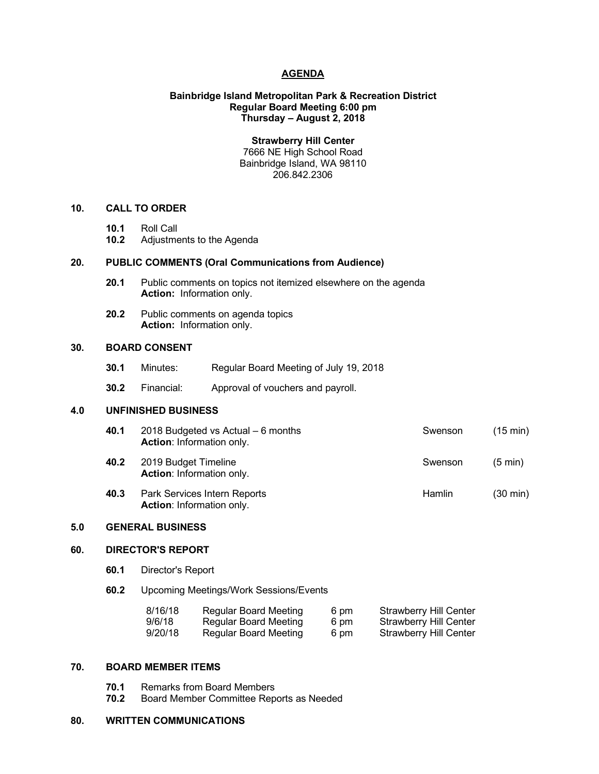# **AGENDA**

# **Bainbridge Island Metropolitan Park & Recreation District Regular Board Meeting 6:00 pm Thursday – August 2, 2018**

**Strawberry Hill Center** 7666 NE High School Road

Bainbridge Island, WA 98110 206.842.2306

## **10. CALL TO ORDER**

- **10.1** Roll Call
- **10.2** Adjustments to the Agenda

# **20. PUBLIC COMMENTS (Oral Communications from Audience)**

- **20.1** Public comments on topics not itemized elsewhere on the agenda **Action:** Information only.
- **20.2** Public comments on agenda topics **Action:** Information only.

# **30. BOARD CONSENT**

- **30.1** Minutes: Regular Board Meeting of July 19, 2018
- **30.2** Financial: Approval of vouchers and payroll.

# **4.0 UNFINISHED BUSINESS**

- **40.1** 2018 Budgeted vs Actual 6 months Swenson (15 min) **Action**: Information only. **40.2** 2019 Budget Timeline Swenson (5 min) **Action**: Information only.
- **40.3** Park Services Intern Reports **Hamlin** (30 min) **Action**: Information only.

# **5.0 GENERAL BUSINESS**

### **60. DIRECTOR'S REPORT**

- **60.1** Director's Report
- **60.2** Upcoming Meetings/Work Sessions/Events

| 8/16/18 | <b>Regular Board Meeting</b> | 6 pm | <b>Strawberry Hill Center</b> |
|---------|------------------------------|------|-------------------------------|
| 9/6/18  | Regular Board Meeting        | 6 pm | <b>Strawberry Hill Center</b> |
| 9/20/18 | Regular Board Meeting        | 6 pm | Strawberry Hill Center        |

# **70. BOARD MEMBER ITEMS**

- **70.1** Remarks from Board Members
- **70.2** Board Member Committee Reports as Needed

## **80. WRITTEN COMMUNICATIONS**